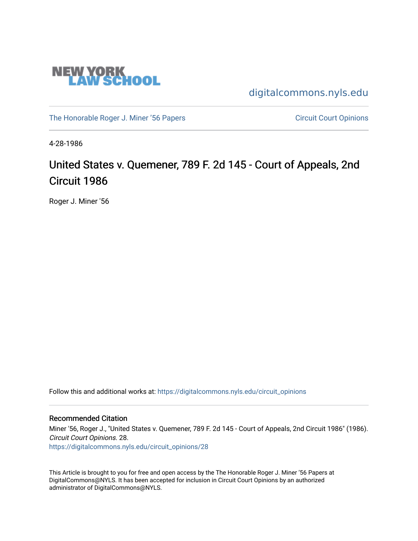

[digitalcommons.nyls.edu](https://digitalcommons.nyls.edu/) 

[The Honorable Roger J. Miner '56 Papers](https://digitalcommons.nyls.edu/miner_papers) Circuit Court Opinions

4-28-1986

### United States v. Quemener, 789 F. 2d 145 - Court of Appeals, 2nd Circuit 1986

Roger J. Miner '56

Follow this and additional works at: [https://digitalcommons.nyls.edu/circuit\\_opinions](https://digitalcommons.nyls.edu/circuit_opinions?utm_source=digitalcommons.nyls.edu%2Fcircuit_opinions%2F28&utm_medium=PDF&utm_campaign=PDFCoverPages) 

#### Recommended Citation

Miner '56, Roger J., "United States v. Quemener, 789 F. 2d 145 - Court of Appeals, 2nd Circuit 1986" (1986). Circuit Court Opinions. 28.

[https://digitalcommons.nyls.edu/circuit\\_opinions/28](https://digitalcommons.nyls.edu/circuit_opinions/28?utm_source=digitalcommons.nyls.edu%2Fcircuit_opinions%2F28&utm_medium=PDF&utm_campaign=PDFCoverPages)

This Article is brought to you for free and open access by the The Honorable Roger J. Miner '56 Papers at DigitalCommons@NYLS. It has been accepted for inclusion in Circuit Court Opinions by an authorized administrator of DigitalCommons@NYLS.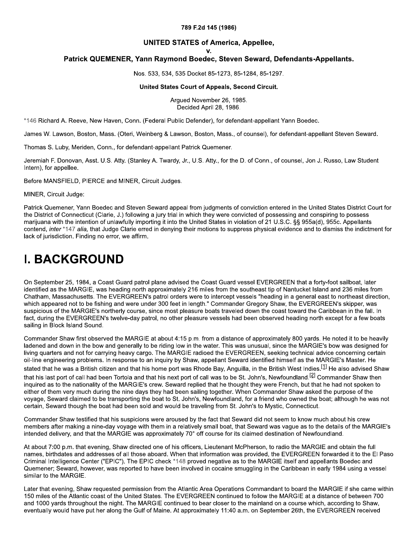#### 789 F.2d 145 (1986)

#### **UNITED STATES of America, Appellee,**

v.

#### Patrick QUEMENER, Yann Raymond Boedec, Steven Seward, Defendants-Appellants.

Nos. 533, 534, 535 Docket 85-1273, 85-1284, 85-1297.

#### United States Court of Appeals, Second Circuit.

Arqued November 26, 1985. Decided April 28, 1986.

\*146 Richard A. Reeve, New Haven, Conn. (Federal Public Defender), for defendant-appellant Yann Boedec.

James W. Lawson, Boston, Mass. (Oteri, Weinberg & Lawson, Boston, Mass., of counsel), for defendant-appellant Steven Seward.

Thomas S. Luby, Meriden, Conn., for defendant-appellant Patrick Quemener.

Jeremiah F. Donovan, Asst. U.S. Atty. (Stanley A. Twardy, Jr., U.S. Atty., for the D. of Conn., of counsel, Jon J. Russo, Law Student Intern), for appellee.

Before MANSFIELD, PIERCE and MINER, Circuit Judges.

MINER, Circuit Judge:

Patrick Quemener, Yann Boedec and Steven Seward appeal from judgments of conviction entered in the United States District Court for the District of Connecticut (Clarie, J.) following a jury trial in which they were convicted of possessing and conspiring to possess marijuana with the intention of unlawfully importing it into the United States in violation of 21 U.S.C. §§ 955a(d), 955c. Appellants contend, inter \*147 alia, that Judge Clarie erred in denying their motions to suppress physical evidence and to dismiss the indictment for lack of jurisdiction. Finding no error, we affirm.

### **I. BACKGROUND**

On September 25, 1984, a Coast Guard patrol plane advised the Coast Guard vessel EVERGREEN that a forty-foot sailboat, later identified as the MARGIE, was heading north approximately 216 miles from the southeast tip of Nantucket Island and 236 miles from Chatham, Massachusetts. The EVERGREEN's patrol orders were to intercept vessels "heading in a general east to northeast direction, which appeared not to be fishing and were under 300 feet in length." Commander Gregory Shaw, the EVERGREEN's skipper, was suspicious of the MARGIE's northerly course, since most pleasure boats traveled down the coast toward the Caribbean in the fall. In fact, during the EVERGREEN's twelve-day patrol, no other pleasure vessels had been observed heading north except for a few boats sailing in Block Island Sound.

Commander Shaw first observed the MARGIE at about 4:15 p.m. from a distance of approximately 800 yards. He noted it to be heavily ladened and down in the bow and generally to be riding low in the water. This was unusual, since the MARGIE's bow was designed for living quarters and not for carrying heavy cargo. The MARGIE radioed the EVERGREEN, seeking technical advice concerning certain oil-line engineering problems. In response to an inquiry by Shaw, appellant Seward identified himself as the MARGIE's Master. He stated that he was a British citizen and that his home port was Rhode Bay, Anguilla, in the British West Indies.<sup>[1]</sup> He also advised Shaw that his last port of call had been Tortola and that his next port of call was to be St. John's. Newfoundland.<sup>[2]</sup> Commander Shaw then inguired as to the nationality of the MARGIE's crew. Seward replied that he thought they were French, but that he had not spoken to either of them very much during the nine days they had been sailing together. When Commander Shaw asked the purpose of the voyage. Seward claimed to be transporting the boat to St. John's, Newfoundland, for a friend who owned the boat; although he was not certain, Seward though the boat had been sold and would be traveling from St. John's to Mystic, Connecticut.

Commander Shaw testified that his suspicions were aroused by the fact that Seward did not seem to know much about his crew members after making a nine-day voyage with them in a relatively small boat, that Seward was vague as to the details of the MARGIE's intended delivery, and that the MARGIE was approximately 70° off course for its claimed destination of Newfoundland.

At about 7:00 p.m. that evening, Shaw directed one of his officers, Lieutenant McPherson, to radio the MARGIE and obtain the full names, birthdates and addresses of all those aboard. When that information was provided, the EVERGREEN forwarded it to the El Paso Criminal Intelligence Center ("EPIC"). The EPIC check \*148 proved negative as to the MARGIE itself and appellants Boedec and Quemener; Seward, however, was reported to have been involved in cocaine smuggling in the Caribbean in early 1984 using a vessel similar to the MARGIE.

Later that evening, Shaw requested permission from the Atlantic Area Operations Commandant to board the MARGIE if she came within 150 miles of the Atlantic coast of the United States. The EVERGREEN continued to follow the MARGIE at a distance of between 700 and 1000 yards throughout the night. The MARGIE continued to bear closer to the mainland on a course which, according to Shaw, eventually would have put her along the Gulf of Maine. At approximately 11:40 a.m. on September 26th, the EVERGREEN received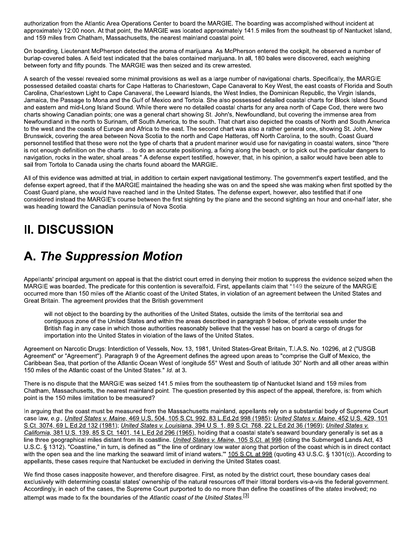authorization from the Atlantic Area Operations Center to board the MARGIE. The boarding was accomplished without incident at approximately 12:00 noon. At that point, the MARGIE was located approximately 141.5 miles from the southeast tip of Nantucket Island, and 159 miles from Chatham, Massachusetts, the nearest mainland coastal point.

On boarding, Lieutenant McPherson detected the aroma of marijuana. As McPherson entered the cockpit, he observed a number of burlap-covered bales. A field test indicated that the bales contained marijuana. In all, 180 bales were discovered, each weighing between forty and fifty pounds. The MARGIE was then seized and its crew arrested.

A search of the vessel revealed some minimal provisions as well as a large number of navigational charts. Specifically, the MARGIE possessed detailed coastal charts for Cape Hatteras to Charlestown, Cape Canaveral to Key West, the east coasts of Florida and South Carolina, Charlestown Light to Cape Canaveral, the Leeward Islands, the West Indies, the Dominican Republic, the Virgin Islands, Jamaica, the Passage to Mona and the Gulf of Mexico and Tortola. She also possessed detailed coastal charts for Block Island Sound and eastern and mid-Long Island Sound. While there were no detailed coastal charts for any area north of Cape Cod, there were two charts showing Canadian points; one was a general chart showing St. John's, Newfoundland, but covering the immense area from Newfoundland in the north to Surinam, off South America, to the south. That chart also depicted the coasts of North and South America to the west and the coasts of Europe and Africa to the east. The second chart was also a rather general one, showing St. John, New Brunswick, covering the area between Nova Scotia to the north and Cape Hatteras, off North Carolina, to the south. Coast Guard personnel testified that these were not the type of charts that a prudent mariner would use for navigating in coastal waters, since "there is not enough definition on the charts ... to do an accurate positioning, a fixing along the beach, or to pick out the particular dangers to navigation, rocks in the water, shoal areas." A defense expert testified, however, that, in his opinion, a sailor would have been able to sail from Tortola to Canada using the charts found aboard the MARGIE.

All of this evidence was admitted at trial, in addition to certain expert navigational testimony. The government's expert testified, and the defense expert agreed, that if the MARGIE maintained the heading she was on and the speed she was making when first spotted by the Coast Guard plane, she would have reached land in the United States. The defense expert, however, also testified that if one considered instead the MARGIE's course between the first sighting by the plane and the second sighting an hour and one-half later, she was heading toward the Canadian peninsula of Nova Scotia.

# **II. DISCUSSION**

## **A. The Suppression Motion**

Appellants' principal argument on appeal is that the district court erred in denying their motion to suppress the evidence seized when the MARGIE was boarded. The predicate for this contention is severalfold. First, appellants claim that \*149 the seizure of the MARGIE occurred more than 150 miles off the Atlantic coast of the United States, in violation of an agreement between the United States and Great Britain. The agreement provides that the British government

will not object to the boarding by the authorities of the United States, outside the limits of the territorial sea and contiguous zone of the United States and within the areas described in paragraph 9 below, of private vessels under the British flag in any case in which those authorities reasonably believe that the vessel has on board a cargo of drugs for importation into the United States in violation of the laws of the United States.

Agreement on Narcotic Drugs: Interdiction of Vessels, Nov. 13, 1981, United States-Great Britain, T.I.A.S. No. 10296, at 2 ("USGB Agreement" or "Agreement"). Paragraph 9 of the Agreement defines the agreed upon areas to "comprise the Gulf of Mexico, the Caribbean Sea, that portion of the Atlantic Ocean West of longitude 55° West and South of latitude 30° North and all other areas within 150 miles of the Atlantic coast of the United States." Id. at 3.

There is no dispute that the MARGIE was seized 141.5 miles from the southeastern tip of Nantucket Island and 159 miles from Chatham, Massachusetts, the nearest mainland point. The question presented by this aspect of the appeal, therefore, is: from which point is the 150 miles limitation to be measured?

In arquing that the coast must be measured from the Massachusetts mainland, appellants rely on a substantial body of Supreme Court case law, e.g., United States v. Maine, 469 U.S. 504, 105 S.Ct. 992, 83 L.Ed.2d 998 (1985); United States v. Maine, 452 U.S. 429, 101 S.Ct. 3074, 69 L.Ed.2d 132 (1981); United States v. Louisiana, 394 U.S. 1, 89 S.Ct. 768, 22 L.Ed.2d 36 (1969); United States v. California, 381 U.S. 139, 85 S.Ct. 1401, 14 L.Ed.2d 296 (1965), holding that a coastal state's seaward boundary generally is set as a line three geographical miles distant from its coastline. United States v. Maine, 105 S.Ct. at 998 (citing the Submerged Lands Act, 43 U.S.C. § 1312). "Coastline," in turn, is defined as "'the line of ordinary low water along that portion of the coast which is in direct contact with the open sea and the line marking the seaward limit of inland waters." 105 S.Ct. at 998 (quoting 43 U.S.C. § 1301(c)). According to appellants, these cases require that Nantucket be excluded in deriving the United States coast.

We find those cases inapposite however, and therefore disagree. First, as noted by the district court, these boundary cases deal exclusively with determining coastal states' ownership of the natural resources off their littoral borders vis-a-vis the federal government. Accordingly, in each of the cases, the Supreme Court purported to do no more than define the coastlines of the states involved; no attempt was made to fix the boundaries of the Atlantic coast of the United States.<sup>[3]</sup>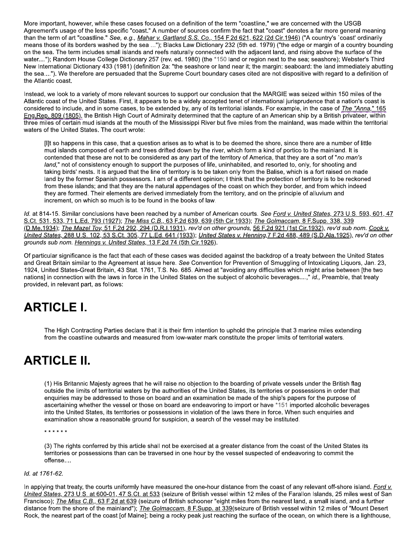More important, however, while these cases focused on a definition of the term "coastline," we are concerned with the USGB Agreement's usage of the less specific "coast." A number of sources confirm the fact that "coast" denotes a far more general meaning than the term of art "coastline." See, e.g., Mahar v. Gartland S.S. Co., 154 F.2d 621, 622 (2d Cir.1946) ("A country's `coast' ordinarily means those of its borders washed by the sea ..."); Blacks Law Dictionary 232 (5th ed. 1979) ("the edge or margin of a country bounding on the sea. The term includes small islands and reefs naturally connected with the adjacent land, and rising above the surface of the water...."); Random House College Dictionary 257 (rev. ed. 1980) (the \*150 land or region next to the sea; seashore); Webster's Third New International Dictionary 433 (1981) (definition 2a: "the seashore or land near it; the margin: seaboard: the land immediately abutting the sea...."). We therefore are persuaded that the Supreme Court boundary cases cited are not dispositive with regard to a definition of the Atlantic coast.

Instead, we look to a variety of more relevant sources to support our conclusion that the MARGIE was seized within 150 miles of the Atlantic coast of the United States. First, it appears to be a widely accepted tenet of international jurisprudence that a nation's coast is considered to include, and in some cases, to be extended by, any of its territorial islands. For example, in the case of *The "Anna*," 165 Eng. Rep. 809 (1805), the British High Court of Admiralty determined that the capture of an American ship by a British privateer, within three miles of certain mud islands at the mouth of the Mississippi River but five miles from the mainland, was made within the territorial waters of the United States. The court wrote:

[I]t so happens in this case, that a question arises as to what is to be deemed the shore, since there are a number of little mud islands composed of earth and trees drifted down by the river, which form a kind of portico to the mainland. It is contended that these are not to be considered as any part of the territory of America, that they are a sort of "no man's land," not of consistency enough to support the purposes of life, uninhabited, and resorted to, only, for shooting and taking birds' nests. It is argued that the line of territory is to be taken only from the Balise, which is a fort raised on made land by the former Spanish possessors. I am of a different opinion; I think that the protection of territory is to be reckoned from these islands; and that they are the natural appendages of the coast on which they border, and from which indeed they are formed. Their elements are derived immediately from the territory, and on the principle of alluvium and increment, on which so much is to be found in the books of law.

Id. at 814-15. Similar conclusions have been reached by a number of American courts. See Ford v. United States, 273 U.S. 593, 601, 47 S.Ct. 531, 533, 71 L.Ed. 793 (1927); The Miss C.B., 63 F.2d 639, 639 (5th Cir.1933); The Golmaccam, 8 F.Supp. 338, 339 (D.Me.1934); The Mazel Tov, 51 F.2d 292, 294 (D.R.I.1931), rev'd on other grounds, 56 F.2d 921 (1st Cir.1932), rev'd sub nom. Cook v. United States, 288 U.S. 102, 53 S.Ct. 305, 77 L.Ed. 641 (1933); United States v. Henning, 7 F.2d 488, 489 (S.D.Ala.1925), rev'd on other grounds sub nom. Hennings v. United States, 13 F.2d 74 (5th Cir.1926).

Of particular significance is the fact that each of these cases was decided against the backdrop of a treaty between the United States and Great Britain similar to the Agreement at issue here. See Convention for Prevention of Smuggling of Intoxicating Liquors, Jan. 23, 1924, United States-Great Britain, 43 Stat. 1761, T.S. No. 685. Aimed at "avoiding any difficulties which might arise between [the two nations] in connection with the laws in force in the United States on the subject of alcoholic beverages....," id., Preamble, that treaty provided, in relevant part, as follows:

## **ARTICLE I.**

The High Contracting Parties declare that it is their firm intention to uphold the principle that 3 marine miles extending from the coastline outwards and measured from low-water mark constitute the proper limits of territorial waters.

# **ARTICLE II.**

(1) His Britannic Majesty agrees that he will raise no objection to the boarding of private vessels under the British flag outside the limits of territorial waters by the authorities of the United States, its territories or possessions in order that enquiries may be addressed to those on board and an examination be made of the ship's papers for the purpose of ascertaining whether the vessel or those on board are endeavoring to import or have \*151 imported alcoholic beverages into the United States, its territories or possessions in violation of the laws there in force. When such enquiries and examination show a reasonable ground for suspicion, a search of the vessel may be instituted.

\* \* \* \* \* \*

(3) The rights conferred by this article shall not be exercised at a greater distance from the coast of the United States its territories or possessions than can be traversed in one hour by the vessel suspected of endeavoring to commit the offense....

#### Id. at 1761-62.

In applying that treaty, the courts uniformly have measured the one-hour distance from the coast of any relevant off-shore island. Ford v. United States, 273 U.S. at 600-01, 47 S.Ct. at 533 (seizure of British vessel within 12 miles of the Farallon Islands, 25 miles west of San Francisco); The Miss C.B., 63 F.2d at 639 (seizure of British schooner "eight miles from the nearest land, a small island, and a further distance from the shore of the mainland"); The Golmaccam, 8 F.Supp. at 339(seizure of British vessel within 12 miles of "Mount Desert Rock, the nearest part of the coast [of Maine]; being a rocky peak just reaching the surface of the ocean, on which there is a lighthouse,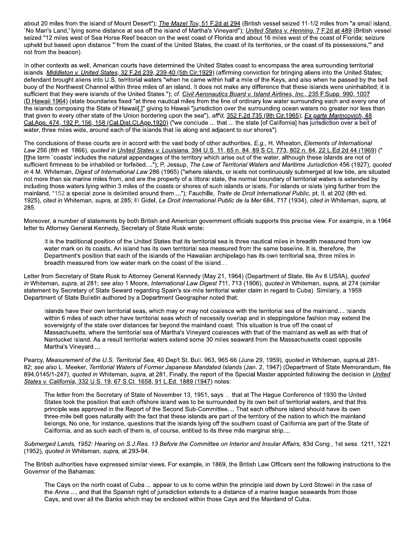about 20 miles from the island of Mount Desert"); The Mazel Tov, 51 F.2d at 294 (British vessel seized 11-1/2 miles from "a small island, 'No Man's Land,' lying some distance at sea off the island of Martha's Vineyard"); *United States v. Henning, 7 F.2d at 489* (British vessel seized "12 miles west of Sea Horse Reef beacon on the west coast of Florida and about 16 miles west of the coast of Florida; seizure upheld but based upon distance "'from the coast of the United States, the coast of its territories, or the coast of its possessions," and not from the beacon).

In other contexts as well, American courts have determined the United States coast to encompass the area surrounding territorial islands. Middleton v. United States, 32 F.2d 239, 239-40 (5th Cir.1929) (affirming conviction for bringing aliens into the United States; defendant brought aliens into U.S. territorial waters "when he came within half a mile of the Keys, and also when he passed by the bell buoy of the Northwest Channel within three miles of an island. It does not make any difference that these islands were uninhabited; it is sufficient that they were islands of the United States."); cf. Civil Aeronautics Board v. Island Airlines, Inc., 235 F.Supp. 990, 1007 (D.Hawaii 1964) (state boundaries fixed "at three nautical miles from the line of ordinary low water surrounding each and every one of the islands composing the State of Hawaii[,]" giving to Hawaii "jurisdiction over the surrounding ocean waters no greater nor less than that given to every other state of the Union bordering upon the sea"), aff'd, 352 F.2d 735 (9th Cir.1965); Ex parte Marincovich, 48 Cal.App. 474, 192 P. 156, 158 (Cal.Dist.Ct.App.1920) ("we conclude ... that ... the state [of California] has jurisdiction over a belt of water, three miles wide, around each of the islands that lie along and adjacent to our shores").

The conclusions of these courts are in accord with the vast body of other authorities. E.g., H. Wheaton, Elements of International Law 256 (8th ed. 1866), quoted in United States v. Louisiana, 394 U.S. 11, 65 n. 84, 89 S.Ct. 773, 802 n. 84, 22 L.Ed.2d 44 (1969) (" [t]he term `coasts' includes the natural appendages of the territory which arise out of the water, although these islands are not of sufficient firmness to be inhabited or forfeited...."); P. Jessup, The Law of Territorial Waters and Maritime Jurisdiction 456 (1927), quoted in 4 M. Whiteman, Digest of International Law 286 (1965) ("where islands, or islets not continuously submerged at low tide, are situated not more than six marine miles from, and are the property of a littoral state, the normal boundary of territorial waters is extended by including those waters lying within 3 miles of the coasts or shores of such islands or islets. For islands or islets lying further from the mainland, \*152 a special zone is delimited around them...."); Fauchille, Traite de Droit International Public, pt. II, at 202 (8th ed. 1925), cited in Whiteman, supra, at 285; III Gidel, Le Droit International Public de la Mer 684, 717 (1934), cited in Whiteman, supra, at 285.

Moreover, a number of statements by both British and American government officials supports this precise view. For example, in a 1964 letter to Attorney General Kennedy, Secretary of State Rusk wrote:

It is the traditional position of the United States that its territorial sea is three nautical miles in breadth measured from low water mark on its coasts. An island has its own territorial sea measured from the same baseline. It is, therefore, the Department's position that each of the islands of the Hawaiian archipelago has its own territorial sea, three miles in breadth measured from low water mark on the coast of the island....

Letter from Secretary of State Rusk to Attorney General Kennedy (May 21, 1964) (Department of State, file Av 6 US/IA), quoted in Whiteman, supra, at 281; see also 1 Moore, International Law Digest 711, 713 (1906), quoted in Whiteman, supra, at 274 (similar statement by Secretary of State Seward regarding Spain's six-mile territorial water claim in regard to Cuba). Similarly, a 1959 Department of State Bulletin authored by a Department Geographer noted that:

Islands have their own territorial seas, which may or may not coalesce with the territorial sea of the mainland.... Islands within 6 miles of each other have territorial seas which of necessity overlap and in steppingstone fashion may extend the sovereignty of the state over distances far beyond the mainland coast. This situation is true off the coast of Massachusetts, where the territorial sea of Martha's Vinevard coalesces with that of the mainland as well as with that of Nantucket Island. As a result territorial waters extend some 30 miles seaward from the Massachusetts coast opposite Martha's Vineyard....

Pearcy, Measurement of the U.S. Territorial Sea, 40 Dep't St. Bull. 963, 965-66 (June 29, 1959), quoted in Whiteman, supra, at 281-82; see also L. Meeker, Territorial Waters of Former Japanese Mandated Islands (Jan. 2, 1947) (Department of State Memorandum, file 894.0145/1-247), quoted in Whiteman, supra, at 281. Finally, the report of the Special Master appointed following the decision in United States v. California, 332 U.S. 19, 67 S.Ct. 1658, 91 L.Ed. 1889 (1947) notes:

The letter from the Secretary of State of November 13, 1951, says ... that at The Hague Conference of 1930 the United States took the position that each offshore island was to be surrounded by its own belt of territorial waters, and that this principle was approved in the Report of the Second Sub-Committee.... That each offshore island should have its own three-mile belt goes naturally with the fact that these islands are part of the territory of the nation to which the mainland belongs. No one, for instance, questions that the islands lying off the southern coast of California are part of the State of California, and as such each of them is, of course, entitled to its three mile marginal strip....

Submerged Lands, 1952: Hearing on S.J.Res. 13 Before the Committee on Interior and Insular Affairs, 83d Cong., 1st sess. 1211, 1221 (1952), quoted in Whiteman, supra, at 293-94.

The British authorities have expressed similar views. For example, in 1869, the British Law Officers sent the following instructions to the Governor of the Bahamas:

The Cays on the north coast of Cuba ... appear to us to come within the principle laid down by Lord Stowell in the case of the Anna ..., and that the Spanish right of jurisdiction extends to a distance of a marine league seawards from those Cays, and over all the Banks which may be enclosed within those Cays and the Mainland of Cuba.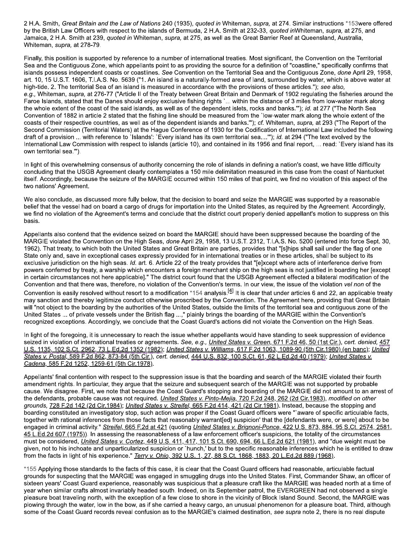2 H.A. Smith, Great Britain and the Law of Nations 240 (1935), quoted in Whiteman, supra, at 274. Similar instructions \*153were offered by the British Law Officers with respect to the islands of Bermuda, 2 H.A. Smith at 232-33, quoted in Whiteman, supra, at 275, and Jamaica, 2 H.A. Smith at 239, quoted in Whiteman, supra, at 275, as well as the Great Barrier Reef at Queensland, Australia, Whiteman, supra, at 278-79.

Finally, this position is supported by reference to a number of international treaties. Most significant, the Convention on the Territorial Sea and the Contiguous Zone, which appellants point to as providing the source for a definition of "coastline," specifically confirms that islands possess independent coasts or coastlines. See Convention on the Territorial Sea and the Contiguous Zone, done April 29, 1958, art. 10, 15 U.S.T. 1606, T.I.A.S. No. 5639 ("1. An island is a naturally-formed area of land, surrounded by water, which is above water at high-tide. 2. The territorial Sea of an island is measured in accordance with the provisions of these articles."); see also, e.g., Whiteman, supra, at 276-77 ("Article II of the Treaty between Great Britain and Denmark of 1902 regulating the fisheries around the Faroe Islands, stated that the Danes should enjoy exclusive fishing rights `... within the distance of 3 miles from low-water mark along the whole extent of the coast of the said islands, as well as of the dependent islets, rocks and banks.""); id. at 277 ("The North Sea Convention of 1882 in article 2 stated that the fishing line should be measured from the `low-water mark along the whole extent of the coasts of their respective countries, as well as of the dependent islands and banks.""); cf. Whiteman, supra, at 293 ("The Report of the Second Commission (Territorial Waters) at the Hague Conference of 1930 for the Codification of International Law included the following draft of a provision ... with reference to `Islands': `Every island has its own territorial sea....""); id. at 294 ("The text evolved by the International Law Commission with respect to islands (article 10), and contained in its 1956 and final report, ... read: `Every island has its own territorial sea."").

In light of this overwhelming consensus of authority concerning the role of islands in defining a nation's coast, we have little difficulty concluding that the USGB Agreement clearly contemplates a 150 mile delimitation measured in this case from the coast of Nantucket itself. Accordingly, because the seizure of the MARGIE occurred within 150 miles of that point, we find no violation of this aspect of the two nations' Agreement.

We also conclude, as discussed more fully below, that the decision to board and seize the MARGIE was supported by a reasonable belief that the vessel had on board a cargo of drugs for importation into the United States, as required by the Agreement. Accordingly, we find no violation of the Agreement's terms and conclude that the district court properly denied appellant's motion to suppress on this basis.

Appellants also contend that the evidence seized on board the MARGIE should have been suppressed because the boarding of the MARGIE violated the Convention on the High Seas, done April 29, 1958, 13 U.S.T. 2312, T.I.A.S. No. 5200 (entered into force Sept. 30, 1962). That treaty, to which both the United States and Great Britain are parties, provides that "[s]hips shall sail under the flag of one State only and, save in exceptional cases expressly provided for in international treaties or in these articles, shall be subject to its exclusive jurisdiction on the high seas. Id. art. 6. Article 22 of the treaty provides that "[e]xcept where acts of interference derive from powers conferred by treaty, a warship which encounters a foreign merchant ship on the high seas is not justified in boarding her [except in certain circumstances not here applicable]." The district court found that the USGB Agreement effected a bilateral modification of the Convention and that there was, therefore, no violation of the Convention's terms. In our view, the issue of the violation vel non of the Convention is easily resolved without resort to a modification \*154 analysis.<sup>[4]</sup> It is clear that under articles 6 and 22, an applicable treaty may sanction and thereby legitimize conduct otherwise proscribed by the Convention. The Agreement here, providing that Great Britain will "not object to the boarding by the authorities of the United States, outside the limits of the territorial sea and contiguous zone of the United States ... of private vessels under the British flag ...," plainly brings the boarding of the MARGIE within the Convention's recognized exceptions. Accordingly, we conclude that the Coast Guard's actions did not violate the Convention on the High Seas.

In light of the foregoing, it is unnecessary to reach the issue whether appellants would have standing to seek suppression of evidence seized in violation of international treaties or agreements. See, e.g., United States v. Green, 671 F.2d 46, 50 (1st Cir.), cert. denied, 457 U.S. 1135, 102 S.Ct. 2962, 73 L.Ed.2d 1352 (1982); United States v. Williams, 617 F.2d 1063, 1089-90 (5th Cir.1980) (en banc); United States v. Postal, 589 F.2d 862, 873-84 (5th Cir.), cert. denied, 444 U.S. 832, 100 S.Ct. 61, 62 L.Ed.2d 40 (1979); United States v. Cadena, 585 F.2d 1252, 1259-61 (5th Cir.1978).

Appellants' final contention with respect to the suppression issue is that the boarding and search of the MARGIE violated their fourth amendment rights. In particular, they argue that the seizure and subsequent search of the MARGIE was not supported by probable cause. We disagree. First, we note that because the Coast Guard's stopping and boarding of the MARGIE did not amount to an arrest of the defendants, probable cause was not required. *United States v. Pinto-Mejia, 720 F.2d 248, 262 (2d Cir.1983), modified on other* grounds, 728 F.2d 142 (2d Cir.1984); United States v. Streifel, 665 F.2d 414, 421 (2d Cir.1981). Instead, because the stopping and boarding constituted an investigatory stop, such action was proper if the Coast Guard officers were "'aware of specific articulable facts, together with rational inferences from those facts that reasonably warrant[ed] suspicion' that the [defendants were, or were] about to be engaged in criminal activity." Streifel, 665 F.2d at 421 (quoting United States v. Brignoni-Ponce, 422 U.S. 873, 884, 95 S.Ct. 2574, 2581, 45 L.Ed.2d 607 (1975)). In assessing the reasonableness of a law enforcement officer's suspicions, the totality of the circumstances must be considered, *United States v. Cortez*, 449 U.S. 411, 417, 101 S.Ct. 690, 694, 66 L.Ed.2d 621 (1981), and "due weight must be given, not to his inchoate and unparticularized suspicion or `hunch,' but to the specific reasonable inferences which he is entitled to draw from the facts in light of his experience." Terry v. Ohio, 392 U.S. 1, 27, 88 S.Ct. 1868, 1883, 20 L.Ed.2d 889 (1968).

\*155 Applying those standards to the facts of this case, it is clear that the Coast Guard officers had reasonable, articulable factual grounds for suspecting that the MARGIE was engaged in smuggling drugs into the United States. First, Commander Shaw, an officer of sixteen years' Coast Guard experience, reasonably was suspicious that a pleasure craft like the MARGIE was headed north at a time of year when similar crafts almost invariably headed south. Indeed, on its September patrol, the EVERGREEN had not observed a single pleasure boat traveling north, with the exception of a few close to shore in the vicinity of Block Island Sound. Second, the MARGIE was plowing through the water, low in the bow, as if she carried a heavy cargo, an unusual phenomenon for a pleasure boat. Third, although some of the Coast Guard records reveal confusion as to the MARGIE's claimed destination, see supra note 2, there is no real dispute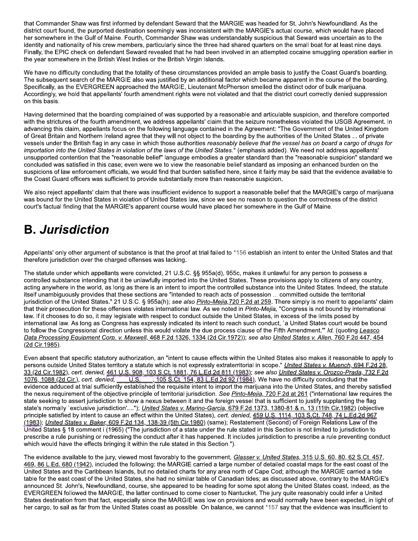that Commander Shaw was first informed by defendant Seward that the MARGIE was headed for St. John's Newfoundland. As the district court found, the purported destination seemingly was inconsistent with the MARGIE's actual course, which would have placed ner somewhere in the Gulf of Maine. Fourth, Commander Shaw was understandably suspicious that Seward was uncertain as to the ldentity and hationality of his crew members, particularly since the three had shared quarters on the small boat for at least nine days. Finally, the EPIC check on defendant Seward revealed that he had been involved in an attempted cocaine smuggling operation earlier in that Commander Shaw was first informed by<br>
district court found, the purported destination<br>
her somewhere in the Gulf of Maine. Fourth,<br>
identity and nationality of his crew members,<br>
Finally, the EPIC check on defendant S the year somewhere in the British west indies or the British Virgin Islands.  $\;$ 

We have no difficulty concidently that the totality of these circumstances provided an ample basis to justify the Coast Guard's boarding. The subsequent search of the MARGIE also was justified by an additional factor which became apparent in the course of the boarding.  $S$  pecifically, as the EVERGREEN approached the MARGIE, Lieutenant McPherson smelled the Accordingly, we nold that appellants' fourth amendment rights were not violated and that the district court correctly denied suppression on this basis.

s actual course, which would have placed<br>
ous that Seward was uncertain as to the<br>
s on the small boat for at least nine days.<br>
mpted cocaine smuggling operation earlier in<br>
basis to justify the Coast Guard's boarding.<br>
me Having determined that the boarding complained of was supported by a reasonable and articulable suspicion, and therefore comported with the strictures of the fourth amendment, we address appellants' claim that the seizure nonetheless violated the USGB Agreement. In advancing this claim, appellants focus on the following language contained in the Agreement: "The Government of the United Kingdom of Great Britain and Northern Ireland agree that they will not object to the boarding by the authorities of the United States ... of private vessels under the British flag in any case in which those authorities *reasonably believe that the vessel has on board a cargo of drugs for* importation into the United States in violation of the laws of the United States." (emphasis added). We need not address appellants unsupported contention that the "reasonable belief" language embodies a greater standard than the "reasonable suspicion" standard we concluded was satisfied in this case; even were we to view the reasonable belief standard as imposing an enhanced burden on the suspicions of law enforcement officials, we would find that burden satisfied here, since it fairly may be said that the evidence available to  $\mathfrak m$ e Coast Guard officers was sufficient to provide substantially more than reasonable suspicion.

we also reject appellants' claim that there was insufficient evidence to support a reasonable belief that the MARGIE's cargo of marijuana was bound for the United States in Violation of United States law, since we see no reason to question the correctness of the district court's factual finding that the MARGIE's apparent course would have placed her somewhere in the Guif of Maine.

### **B.** Jurisdiction

Appellants' only other argument of substance is that the proof at trial falled to "156 establish an intent to enter the United States and that therefore jurisdiction over the charged offenses

In violation of officed clates law, since we see<br>
RGIE's apparent course would have placed by<br>
arged offenses was lacking.<br>
This were convicted, 21 U.S.C. §§ 955a(d), 955<br>
and it be unlawfully imported into the United St<br> The statute under which appellants were convicted, 21 U.S.C. §§ 955a(d), 955c, makes it unlawful for any person to possess a nat the proof at trial failed to \*156 establish an intent to en<br>as lacking.<br>d, 21 U.S.C. §§ 955a(d), 955c, makes it unlawful for any<br>y imported into the United States. These provisions apply<br>an intent to import the control controlled substance intending that it be unlawfully imported into the United States. These provisions apply to citizens of any country, acting anywhere in the world, as long as there is an intent to import the controlled substance into the United States. Indeed, the statute itself unambiguously provides that these sections are "intended to reach acts of possession ... committed outside the territorial jurisdiction of the United States." 21 U.S.C. § 955a(n); *see also <u>Pinto-Mejla, i 20 F.2d at 259</u>.* There simply is no merit to appellants' claim that their prosecution for these offenses violates international law. As we noted in *Pinto-Mejla, "*Congress is not bound by international law. If it chooses to do so, it may legislate with respect to conduct outside the United States, in excess of the limits posed by international law. As long as Congress has expressly indicated its intent to reach such conduct, a United States court would be bound to follow the Congressional direction unless this would violate the due process clause of the Fifth Amendment." *Id.* (quoting <u>Leasco</u> Data Processing Equipment Corp. v. Maxwell, 468 F.2d 1326, 1334 (2d Cir.1972)); see also United States v. Allen, 760 F.2d 447, 454 (2d Cir. 1985).

Even absent that specific statutory authorization, an "intent to cause effects within the United States also makes it reasonable to apply to at 259. There simply is no merit to appellants'<br>
co-Mejia, "Congress is not bound by internation<br>
States, in excess of the limits posed by<br>
conduct, `a United States court would be bou<br>
of the Fifth Amendment." Id. (quotin persons outside United States territory a statute which is not expressiy extraterritorial in scope." <u>United States V. Muench, 694 F.2d 28,</u> <u>33 (2d Cir.1982),</u> cert. denied, <u>461 U.S. 908, 103 S.Ct. 1881, 76 L.Ed.2d 811 (1983)</u>; see also <u>United States v. Orozco-Prada, 732 F.2d</u><br><u>1076, 1088 (2d Cir.),</u> cert. denied, \_\_\_\_U.S. \_\_\_, 105 S.Ct. 154, 83 L.Ed.2d 92  $\frac{\ln \log_2 \tan \ln \log \tan \theta}{\ln \log \tan \tan \theta}$  with  $\frac{\ln \log x}{\ln \log x}$ ,  $\frac{\ln \log x}{\ln \log x}$  and  $\frac{\ln \log x}{\ln \log x}$  we have no difficulty concluding that the evidence adduced at trial sufficiently established the requisite intent to import the marijuana into the United States, and thereby satisfied the nexus requirement of the objective principle of territorial jurisdiction. See **Pinto-Mejla, 720 F.2d at 261** ("International law requires the state seeking to assert jurisdiction to show a nexus between it and the foreign vessel that is sufficient to justify supplanting the flag  $(2d$  Cir.1985).<br>
Even absent that specific statute<br>
persons outside United States to<br>  $33$  (2d Cir.1982), cert. denied,  $\frac{4}{3}$ <br>  $1076$ ,  $1088$  (2d Cir.), cert. denie<br>
evidence adduced at trial sufficitie<br>
the nexus re state's normally exclusive jurisdiction ...."); *United States v. Manno-Garcia, 619 F.2d 1313, 1380-81 & h. 13 (11th Cir.1982)* (objective principle satisfied by intent to cause an effect within the United States), *cert. denied*,  $\frac{45900.8}{1114,103}$  S.Ut. 748, 74 L.Ed. 2d 967 <u>(1983)</u>; *Onited States v. Baker,* 609 F.2d 134, 138-39 (5th Cir. 1980) (same); Restatement (Second) of Foreign Relations Law of the United States  $\S$  18 comment i (1965) ("The jurisdiction of a state under the rule stated in this Section is not limited to jurisdiction to prescribe a rule punishing or redressing the conduct after it has happened. It includes jurisdiction to prescribe a rule preventing conduct which would have the effects bringing it within the rule stated in this Section.").  $\,$ 

The evidence available to the jury, viewed most favorably to the government, Glasser v. United States, 315 U.S. 60, 80, 62 S.Ct. 457,  $4$ b $9$ , 86 L.Ed. 680 (1942), included the following: the MARGIE carried a large number of detailed coastal maps for the east coast of the United States and the Caribbean Islands, but no detailed charts for any area north of Cape Cod; although the MARGIE carried a tide table for the east coast of the United States, she had no similar table of Canadian tides; as discussed above, contrary to the MARGIE's announced St. John's, Newfoundland, course, sne appeared to be heading for some spot along the United States coast. Indeed, as the EVERGREEN followed the MARGIE, the latter continued to come closer to Nantucket. The jury quite reasonably could infer a United has happened. It includes jurisdiction to presc<br>d in this Section.").<br>the government, *Glasser v. United States,* 31<br>IE carried a large number of detailed coastal rarts for any area north of Cape Cod; although<br>ilar table o States destination from that fact, especially since the MARGIE was low on provisions and would normally have been expected, in light of ner cargo, to sall as far from the United States coast as possible. On balance, we cannot 157 say that the evidence was insufficient to